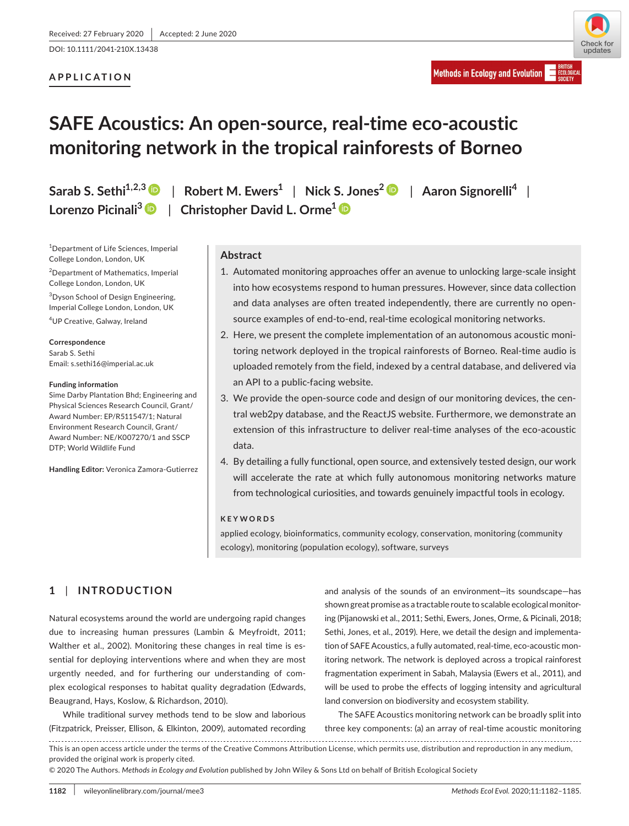DOI: 10.1111/2041-210X.13438

## **APPLICATION**

**FCOLOGICA** 

**Methods in Ecology and Evolution** 

# **SAFE Acoustics: An open-source, real-time eco-acoustic monitoring network in the tropical rainforests of Borneo**

1 Department of Life Sciences, Imperial College London, London, UK

2 Department of Mathematics, Imperial College London, London, UK

<sup>3</sup>Dyson School of Design Engineering, Imperial College London, London, UK

4 UP Creative, Galway, Ireland

**Correspondence** Sarab S. Sethi Email: [s.sethi16@imperial.ac.uk](mailto:s.sethi16@imperial.ac.uk)

#### **Funding information**

Sime Darby Plantation Bhd; Engineering and Physical Sciences Research Council, Grant/ Award Number: EP/R511547/1; Natural Environment Research Council, Grant/ Award Number: NE/K007270/1 and SSCP DTP; World Wildlife Fund

**Handling Editor:** Veronica Zamora-Gutierrez

**Sarab S. Sethi1,2,[3](https://orcid.org/0000-0002-5939-0432)** | **Robert M. Ewers<sup>1</sup>** | **Nick S. Jones<sup>2</sup>** | **Aaron Signorelli<sup>4</sup>** | **Lorenzo Picinali3** | **Christopher David L. Orme<sup>1</sup>**

## **Abstract**

- 1. Automated monitoring approaches offer an avenue to unlocking large-scale insight into how ecosystems respond to human pressures. However, since data collection and data analyses are often treated independently, there are currently no opensource examples of end-to-end, real-time ecological monitoring networks.
- 2. Here, we present the complete implementation of an autonomous acoustic monitoring network deployed in the tropical rainforests of Borneo. Real-time audio is uploaded remotely from the field, indexed by a central database, and delivered via an API to a public-facing website.
- 3. We provide the open-source code and design of our monitoring devices, the central web2py database, and the ReactJS website. Furthermore, we demonstrate an extension of this infrastructure to deliver real-time analyses of the eco-acoustic data.
- 4. By detailing a fully functional, open source, and extensively tested design, our work will accelerate the rate at which fully autonomous monitoring networks mature from technological curiosities, and towards genuinely impactful tools in ecology.

## **KEYWORDS**

applied ecology, bioinformatics, community ecology, conservation, monitoring (community ecology), monitoring (population ecology), software, surveys

# **1** | **INTRODUCTION**

Natural ecosystems around the world are undergoing rapid changes due to increasing human pressures (Lambin & Meyfroidt, 2011; Walther et al., 2002). Monitoring these changes in real time is essential for deploying interventions where and when they are most urgently needed, and for furthering our understanding of complex ecological responses to habitat quality degradation (Edwards, Beaugrand, Hays, Koslow, & Richardson, 2010).

While traditional survey methods tend to be slow and laborious (Fitzpatrick, Preisser, Ellison, & Elkinton, 2009), automated recording

and analysis of the sounds of an environment—its soundscape—has shown great promise as a tractable route to scalable ecological monitoring (Pijanowski et al., 2011; Sethi, Ewers, Jones, Orme, & Picinali, 2018; Sethi, Jones, et al., 2019). Here, we detail the design and implementation of SAFE Acoustics, a fully automated, real-time, eco-acoustic monitoring network. The network is deployed across a tropical rainforest fragmentation experiment in Sabah, Malaysia (Ewers et al., 2011), and will be used to probe the effects of logging intensity and agricultural land conversion on biodiversity and ecosystem stability.

The SAFE Acoustics monitoring network can be broadly split into three key components: (a) an array of real-time acoustic monitoring

This is an open access article under the terms of the [Creative Commons Attribution](http://creativecommons.org/licenses/by/4.0/) License, which permits use, distribution and reproduction in any medium, provided the original work is properly cited.

© 2020 The Authors. *Methods in Ecology and Evolution* published by John Wiley & Sons Ltd on behalf of British Ecological Society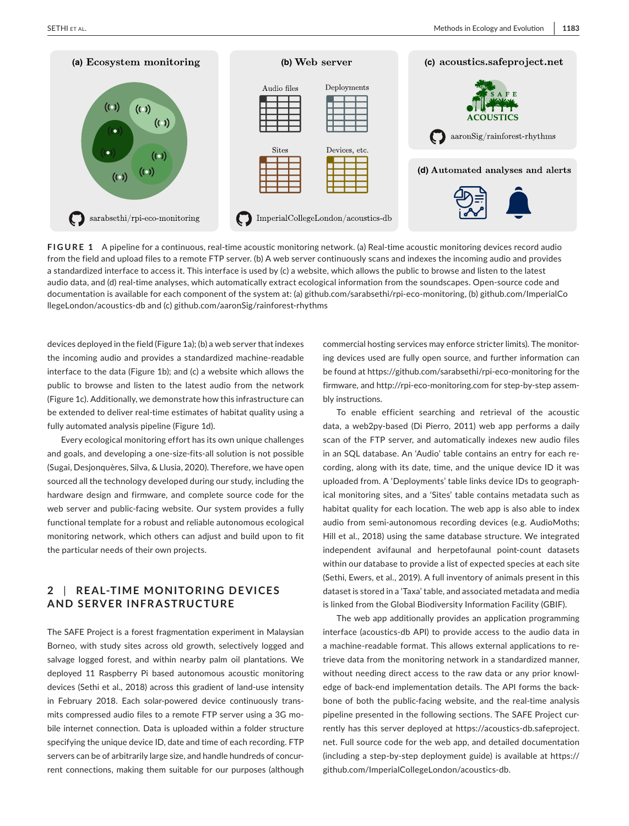

**FIGURE 1** A pipeline for a continuous, real-time acoustic monitoring network. (a) Real-time acoustic monitoring devices record audio from the field and upload files to a remote FTP server. (b) A web server continuously scans and indexes the incoming audio and provides a standardized interface to access it. This interface is used by (c) a website, which allows the public to browse and listen to the latest audio data, and (d) real-time analyses, which automatically extract ecological information from the soundscapes. Open-source code and documentation is available for each component of the system at: (a) [github.com/sarabsethi/rpi-eco-monitoring](http://github.com/sarabsethi/rpi-eco-monitoring), (b) [github.com/ImperialCo](http://github.com/ImperialCollegeLondon/acoustics-db) [llegeLondon/acoustics-db](http://github.com/ImperialCollegeLondon/acoustics-db) and (c) [github.com/aaronSig/rainforest-rhythms](http://github.com/aaronSig/rainforest-rhythms)

devices deployed in the field (Figure 1a); (b) a web server that indexes the incoming audio and provides a standardized machine-readable interface to the data (Figure 1b); and (c) a website which allows the public to browse and listen to the latest audio from the network (Figure 1c). Additionally, we demonstrate how this infrastructure can be extended to deliver real-time estimates of habitat quality using a fully automated analysis pipeline (Figure 1d).

Every ecological monitoring effort has its own unique challenges and goals, and developing a one-size-fits-all solution is not possible (Sugai, Desjonquères, Silva, & Llusia, 2020). Therefore, we have open sourced all the technology developed during our study, including the hardware design and firmware, and complete source code for the web server and public-facing website. Our system provides a fully functional template for a robust and reliable autonomous ecological monitoring network, which others can adjust and build upon to fit the particular needs of their own projects.

# **2** | **RE AL-TIME MONITORING DE VICES AND SERVER INFRASTRUCTURE**

The SAFE Project is a forest fragmentation experiment in Malaysian Borneo, with study sites across old growth, selectively logged and salvage logged forest, and within nearby palm oil plantations. We deployed 11 Raspberry Pi based autonomous acoustic monitoring devices (Sethi et al., 2018) across this gradient of land-use intensity in February 2018. Each solar-powered device continuously transmits compressed audio files to a remote FTP server using a 3G mobile internet connection. Data is uploaded within a folder structure specifying the unique device ID, date and time of each recording. FTP servers can be of arbitrarily large size, and handle hundreds of concurrent connections, making them suitable for our purposes (although

commercial hosting services may enforce stricter limits). The monitoring devices used are fully open source, and further information can be found at<https://github.com/sarabsethi/rpi-eco-monitoring>for the firmware, and <http://rpi-eco-monitoring.com>for step-by-step assembly instructions.

To enable efficient searching and retrieval of the acoustic data, a web2py-based (Di Pierro, 2011) web app performs a daily scan of the FTP server, and automatically indexes new audio files in an SQL database. An 'Audio' table contains an entry for each recording, along with its date, time, and the unique device ID it was uploaded from. A 'Deployments' table links device IDs to geographical monitoring sites, and a 'Sites' table contains metadata such as habitat quality for each location. The web app is also able to index audio from semi-autonomous recording devices (e.g. AudioMoths; Hill et al., 2018) using the same database structure. We integrated independent avifaunal and herpetofaunal point-count datasets within our database to provide a list of expected species at each site (Sethi, Ewers, et al., 2019). A full inventory of animals present in this dataset is stored in a 'Taxa' table, and associated metadata and media is linked from the Global Biodiversity Information Facility (GBIF).

The web app additionally provides an application programming interface (acoustics-db API) to provide access to the audio data in a machine-readable format. This allows external applications to retrieve data from the monitoring network in a standardized manner, without needing direct access to the raw data or any prior knowledge of back-end implementation details. The API forms the backbone of both the public-facing website, and the real-time analysis pipeline presented in the following sections. The SAFE Project currently has this server deployed at [https://acoustics-db.safeproject.](https://acoustics-db.safeproject.net) [net.](https://acoustics-db.safeproject.net) Full source code for the web app, and detailed documentation (including a step-by-step deployment guide) is available at [https://](https://github.com/ImperialCollegeLondon/acoustics-db) [github.com/ImperialCollegeLondon/acoustics-db.](https://github.com/ImperialCollegeLondon/acoustics-db)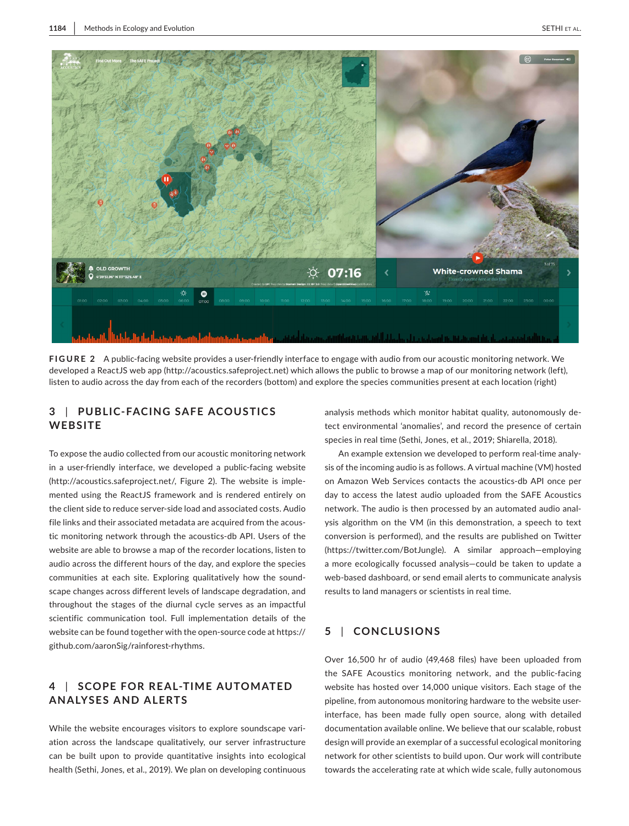

**FIGURE 2** A public-facing website provides a user-friendly interface to engage with audio from our acoustic monitoring network. We developed a ReactJS web app [\(http://acoustics.safeproject.net](http://acoustics.safeproject.net)) which allows the public to browse a map of our monitoring network (left), listen to audio across the day from each of the recorders (bottom) and explore the species communities present at each location (right)

# **3** | **PUBLIC-FACING SAFE ACOUSTIC S WEBSITE**

To expose the audio collected from our acoustic monitoring network in a user-friendly interface, we developed a public-facing website (<http://acoustics.safeproject.net/>, Figure 2). The website is implemented using the ReactJS framework and is rendered entirely on the client side to reduce server-side load and associated costs. Audio file links and their associated metadata are acquired from the acoustic monitoring network through the acoustics-db API. Users of the website are able to browse a map of the recorder locations, listen to audio across the different hours of the day, and explore the species communities at each site. Exploring qualitatively how the soundscape changes across different levels of landscape degradation, and throughout the stages of the diurnal cycle serves as an impactful scientific communication tool. Full implementation details of the website can be found together with the open-source code at [https://](https://github.com/aaronSig/rainforest-rhythms) [github.com/aaronSig/rainforest-rhythms](https://github.com/aaronSig/rainforest-rhythms).

# **4** | **SCOPE FOR RE AL-TIME AUTOMATED ANALYSES AND ALERTS**

While the website encourages visitors to explore soundscape variation across the landscape qualitatively, our server infrastructure can be built upon to provide quantitative insights into ecological health (Sethi, Jones, et al., 2019). We plan on developing continuous analysis methods which monitor habitat quality, autonomously detect environmental 'anomalies', and record the presence of certain species in real time (Sethi, Jones, et al., 2019; Shiarella, 2018).

An example extension we developed to perform real-time analysis of the incoming audio is as follows. A virtual machine (VM) hosted on Amazon Web Services contacts the acoustics-db API once per day to access the latest audio uploaded from the SAFE Acoustics network. The audio is then processed by an automated audio analysis algorithm on the VM (in this demonstration, a speech to text conversion is performed), and the results are published on Twitter (<https://twitter.com/BotJungle>). A similar approach—employing a more ecologically focussed analysis—could be taken to update a web-based dashboard, or send email alerts to communicate analysis results to land managers or scientists in real time.

# **5** | **CONCLUSIONS**

Over 16,500 hr of audio (49,468 files) have been uploaded from the SAFE Acoustics monitoring network, and the public-facing website has hosted over 14,000 unique visitors. Each stage of the pipeline, from autonomous monitoring hardware to the website userinterface, has been made fully open source, along with detailed documentation available online. We believe that our scalable, robust design will provide an exemplar of a successful ecological monitoring network for other scientists to build upon. Our work will contribute towards the accelerating rate at which wide scale, fully autonomous